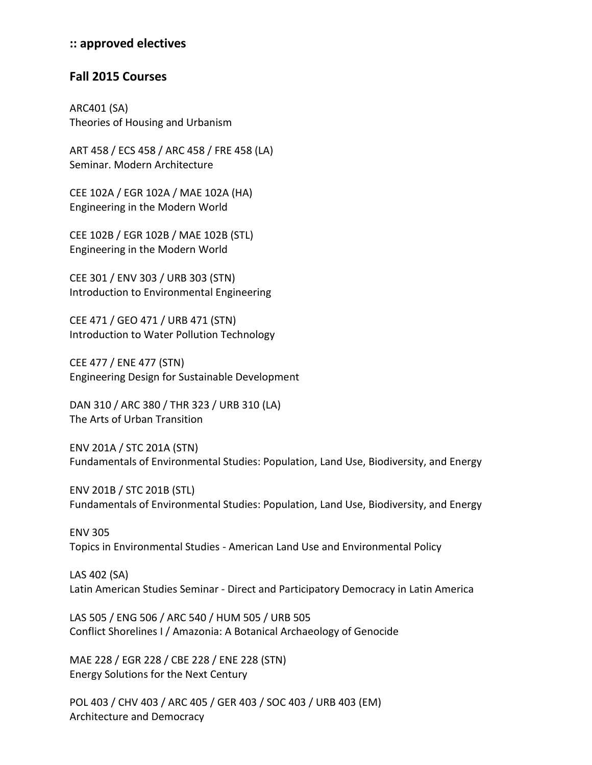## **:: approved electives**

## **Fall 2015 Courses**

ARC401 (SA) Theories of Housing and Urbanism

ART 458 / ECS 458 / ARC 458 / FRE 458 (LA) Seminar. Modern Architecture

CEE 102A / EGR 102A / MAE 102A (HA) Engineering in the Modern World

CEE 102B / EGR 102B / MAE 102B (STL) Engineering in the Modern World

CEE 301 / ENV 303 / URB 303 (STN) Introduction to Environmental Engineering

CEE 471 / GEO 471 / URB 471 (STN) Introduction to Water Pollution Technology

CEE 477 / ENE 477 (STN) Engineering Design for Sustainable Development

DAN 310 / ARC 380 / THR 323 / URB 310 (LA) The Arts of Urban Transition

ENV 201A / STC 201A (STN) Fundamentals of Environmental Studies: Population, Land Use, Biodiversity, and Energy

ENV 201B / STC 201B (STL) Fundamentals of Environmental Studies: Population, Land Use, Biodiversity, and Energy

ENV 305 Topics in Environmental Studies - American Land Use and Environmental Policy

LAS 402 (SA) Latin American Studies Seminar - Direct and Participatory Democracy in Latin America

LAS 505 / ENG 506 / ARC 540 / HUM 505 / URB 505 Conflict Shorelines I / Amazonia: A Botanical Archaeology of Genocide

MAE 228 / EGR 228 / CBE 228 / ENE 228 (STN) Energy Solutions for the Next Century

POL 403 / CHV 403 / ARC 405 / GER 403 / SOC 403 / URB 403 (EM) Architecture and Democracy